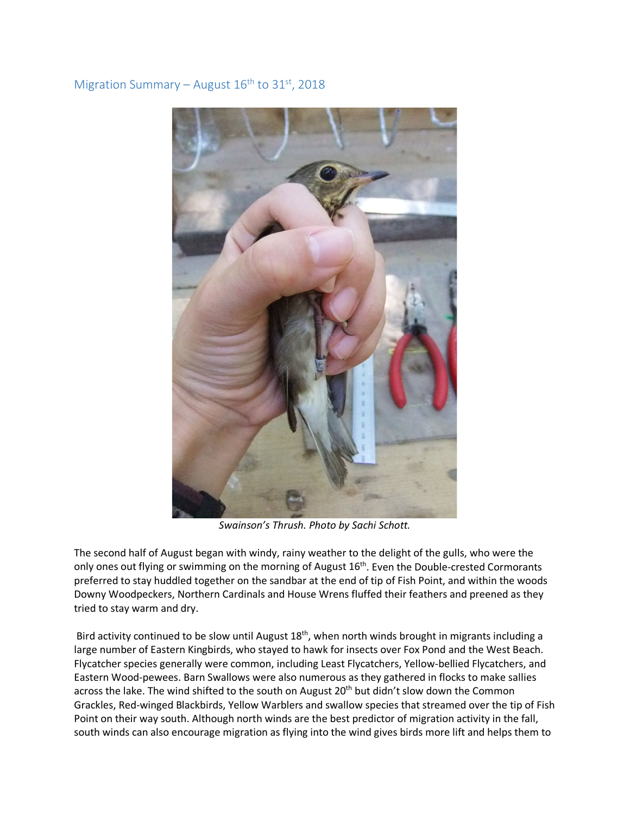## Migration Summary – August  $16<sup>th</sup>$  to 31<sup>st</sup>, 2018



*Swainson's Thrush. Photo by Sachi Schott.*

The second half of August began with windy, rainy weather to the delight of the gulls, who were the only ones out flying or swimming on the morning of August 16<sup>th</sup>. Even the Double-crested Cormorants preferred to stay huddled together on the sandbar at the end of tip of Fish Point, and within the woods Downy Woodpeckers, Northern Cardinals and House Wrens fluffed their feathers and preened as they tried to stay warm and dry.

Bird activity continued to be slow until August  $18<sup>th</sup>$ , when north winds brought in migrants including a large number of Eastern Kingbirds, who stayed to hawk for insects over Fox Pond and the West Beach. Flycatcher species generally were common, including Least Flycatchers, Yellow-bellied Flycatchers, and Eastern Wood-pewees. Barn Swallows were also numerous as they gathered in flocks to make sallies across the lake. The wind shifted to the south on August 20<sup>th</sup> but didn't slow down the Common Grackles, Red-winged Blackbirds, Yellow Warblers and swallow species that streamed over the tip of Fish Point on their way south. Although north winds are the best predictor of migration activity in the fall, south winds can also encourage migration as flying into the wind gives birds more lift and helps them to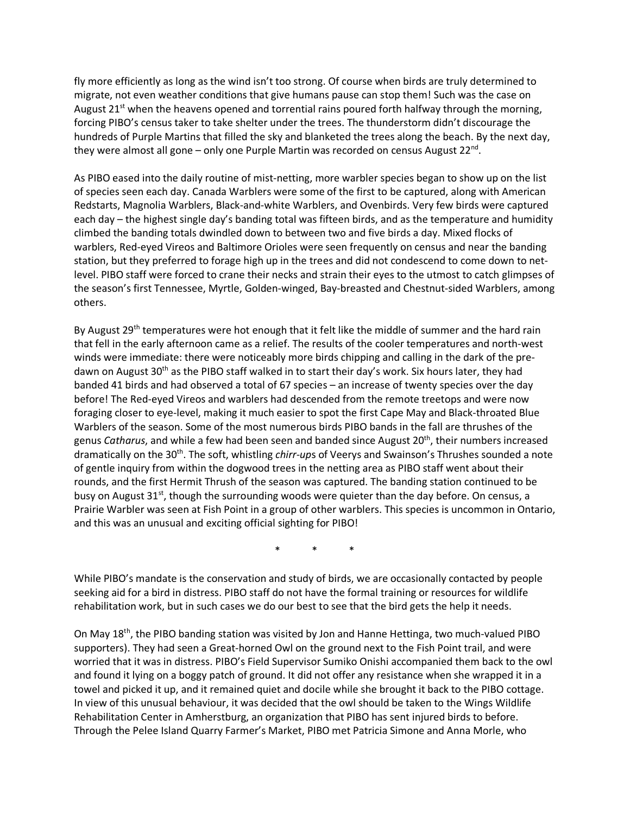fly more efficiently as long as the wind isn't too strong. Of course when birds are truly determined to migrate, not even weather conditions that give humans pause can stop them! Such was the case on August 21<sup>st</sup> when the heavens opened and torrential rains poured forth halfway through the morning, forcing PIBO's census taker to take shelter under the trees. The thunderstorm didn't discourage the hundreds of Purple Martins that filled the sky and blanketed the trees along the beach. By the next day, they were almost all gone – only one Purple Martin was recorded on census August  $22^{nd}$ .

As PIBO eased into the daily routine of mist-netting, more warbler species began to show up on the list of species seen each day. Canada Warblers were some of the first to be captured, along with American Redstarts, Magnolia Warblers, Black-and-white Warblers, and Ovenbirds. Very few birds were captured each day – the highest single day's banding total was fifteen birds, and as the temperature and humidity climbed the banding totals dwindled down to between two and five birds a day. Mixed flocks of warblers, Red-eyed Vireos and Baltimore Orioles were seen frequently on census and near the banding station, but they preferred to forage high up in the trees and did not condescend to come down to netlevel. PIBO staff were forced to crane their necks and strain their eyes to the utmost to catch glimpses of the season's first Tennessee, Myrtle, Golden-winged, Bay-breasted and Chestnut-sided Warblers, among others.

By August 29<sup>th</sup> temperatures were hot enough that it felt like the middle of summer and the hard rain that fell in the early afternoon came as a relief. The results of the cooler temperatures and north-west winds were immediate: there were noticeably more birds chipping and calling in the dark of the predawn on August 30<sup>th</sup> as the PIBO staff walked in to start their day's work. Six hours later, they had banded 41 birds and had observed a total of 67 species – an increase of twenty species over the day before! The Red-eyed Vireos and warblers had descended from the remote treetops and were now foraging closer to eye-level, making it much easier to spot the first Cape May and Black-throated Blue Warblers of the season. Some of the most numerous birds PIBO bands in the fall are thrushes of the genus *Catharus*, and while a few had been seen and banded since August 20<sup>th</sup>, their numbers increased dramatically on the 30<sup>th</sup>. The soft, whistling *chirr-up*s of Veerys and Swainson's Thrushes sounded a note of gentle inquiry from within the dogwood trees in the netting area as PIBO staff went about their rounds, and the first Hermit Thrush of the season was captured. The banding station continued to be busy on August 31 $st$ , though the surrounding woods were quieter than the day before. On census, a Prairie Warbler was seen at Fish Point in a group of other warblers. This species is uncommon in Ontario, and this was an unusual and exciting official sighting for PIBO!

\* \* \*

While PIBO's mandate is the conservation and study of birds, we are occasionally contacted by people seeking aid for a bird in distress. PIBO staff do not have the formal training or resources for wildlife rehabilitation work, but in such cases we do our best to see that the bird gets the help it needs.

On May 18th, the PIBO banding station was visited by Jon and Hanne Hettinga, two much-valued PIBO supporters). They had seen a Great-horned Owl on the ground next to the Fish Point trail, and were worried that it was in distress. PIBO's Field Supervisor Sumiko Onishi accompanied them back to the owl and found it lying on a boggy patch of ground. It did not offer any resistance when she wrapped it in a towel and picked it up, and it remained quiet and docile while she brought it back to the PIBO cottage. In view of this unusual behaviour, it was decided that the owl should be taken to the Wings Wildlife Rehabilitation Center in Amherstburg, an organization that PIBO has sent injured birds to before. Through the Pelee Island Quarry Farmer's Market, PIBO met Patricia Simone and Anna Morle, who